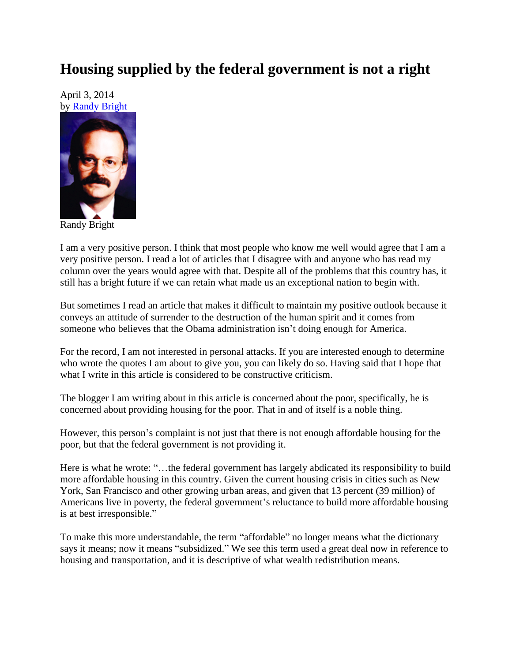## **Housing supplied by the federal government is not a right**

April 3, 2014 by [Randy Bright](http://tulsabeacon.com/writers/randy-bright/)



Randy Bright

I am a very positive person. I think that most people who know me well would agree that I am a very positive person. I read a lot of articles that I disagree with and anyone who has read my column over the years would agree with that. Despite all of the problems that this country has, it still has a bright future if we can retain what made us an exceptional nation to begin with.

But sometimes I read an article that makes it difficult to maintain my positive outlook because it conveys an attitude of surrender to the destruction of the human spirit and it comes from someone who believes that the Obama administration isn't doing enough for America.

For the record, I am not interested in personal attacks. If you are interested enough to determine who wrote the quotes I am about to give you, you can likely do so. Having said that I hope that what I write in this article is considered to be constructive criticism.

The blogger I am writing about in this article is concerned about the poor, specifically, he is concerned about providing housing for the poor. That in and of itself is a noble thing.

However, this person's complaint is not just that there is not enough affordable housing for the poor, but that the federal government is not providing it.

Here is what he wrote: "...the federal government has largely abdicated its responsibility to build more affordable housing in this country. Given the current housing crisis in cities such as New York, San Francisco and other growing urban areas, and given that 13 percent (39 million) of Americans live in poverty, the federal government's reluctance to build more affordable housing is at best irresponsible."

To make this more understandable, the term "affordable" no longer means what the dictionary says it means; now it means "subsidized." We see this term used a great deal now in reference to housing and transportation, and it is descriptive of what wealth redistribution means.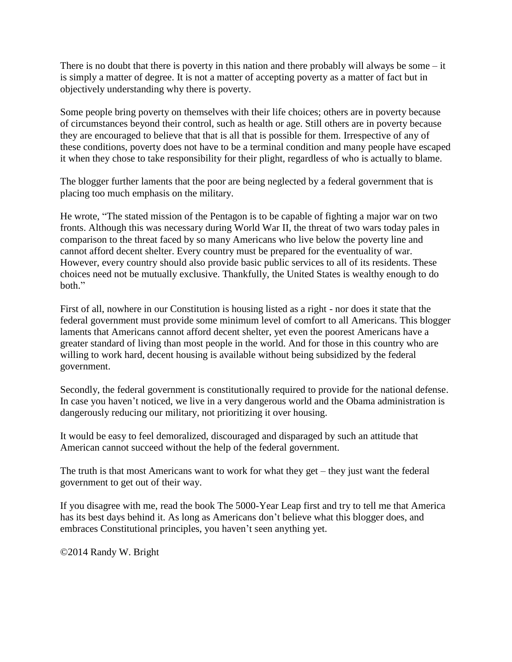There is no doubt that there is poverty in this nation and there probably will always be some – it is simply a matter of degree. It is not a matter of accepting poverty as a matter of fact but in objectively understanding why there is poverty.

Some people bring poverty on themselves with their life choices; others are in poverty because of circumstances beyond their control, such as health or age. Still others are in poverty because they are encouraged to believe that that is all that is possible for them. Irrespective of any of these conditions, poverty does not have to be a terminal condition and many people have escaped it when they chose to take responsibility for their plight, regardless of who is actually to blame.

The blogger further laments that the poor are being neglected by a federal government that is placing too much emphasis on the military.

He wrote, "The stated mission of the Pentagon is to be capable of fighting a major war on two fronts. Although this was necessary during World War II, the threat of two wars today pales in comparison to the threat faced by so many Americans who live below the poverty line and cannot afford decent shelter. Every country must be prepared for the eventuality of war. However, every country should also provide basic public services to all of its residents. These choices need not be mutually exclusive. Thankfully, the United States is wealthy enough to do both."

First of all, nowhere in our Constitution is housing listed as a right - nor does it state that the federal government must provide some minimum level of comfort to all Americans. This blogger laments that Americans cannot afford decent shelter, yet even the poorest Americans have a greater standard of living than most people in the world. And for those in this country who are willing to work hard, decent housing is available without being subsidized by the federal government.

Secondly, the federal government is constitutionally required to provide for the national defense. In case you haven't noticed, we live in a very dangerous world and the Obama administration is dangerously reducing our military, not prioritizing it over housing.

It would be easy to feel demoralized, discouraged and disparaged by such an attitude that American cannot succeed without the help of the federal government.

The truth is that most Americans want to work for what they get – they just want the federal government to get out of their way.

If you disagree with me, read the book The 5000-Year Leap first and try to tell me that America has its best days behind it. As long as Americans don't believe what this blogger does, and embraces Constitutional principles, you haven't seen anything yet.

©2014 Randy W. Bright